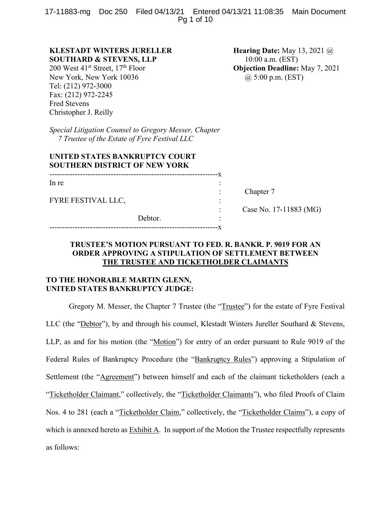17-11883-mg Doc 250 Filed 04/13/21 Entered 04/13/21 11:08:35 Main Document Pg 1 of 10

# **KLESTADT WINTERS JURELLER SOUTHARD & STEVENS, LLP**

200 West  $41^{\text{st}}$  Street,  $17^{\text{th}}$  Floor New York, New York 10036 Tel: (212) 972-3000 Fax: (212) 972-2245 Fred Stevens Christopher J. Reilly

**Hearing Date:** May 13, 2021 @ 10:00 a.m. (EST) **Objection Deadline:** May 7, 2021 @ 5:00 p.m. (EST)

*Special Litigation Counsel to Gregory Messer, Chapter 7 Trustee of the Estate of Fyre Festival LLC* 

# **UNITED STATES BANKRUPTCY COURT SOUTHERN DISTRICT OF NEW YORK**

| In re              |         |  |
|--------------------|---------|--|
| FYRE FESTIVAL LLC, |         |  |
|                    | Debtor. |  |
|                    |         |  |

------------------------------------------------------------------x

Chapter 7

: Case No. 17-11883 (MG)

# **TRUSTEE'S MOTION PURSUANT TO FED. R. BANKR. P. 9019 FOR AN ORDER APPROVING A STIPULATION OF SETTLEMENT BETWEEN THE TRUSTEE AND TICKETHOLDER CLAIMANTS**

# **TO THE HONORABLE MARTIN GLENN, UNITED STATES BANKRUPTCY JUDGE:**

Gregory M. Messer, the Chapter 7 Trustee (the "Trustee") for the estate of Fyre Festival LLC (the "Debtor"), by and through his counsel, Klestadt Winters Jureller Southard & Stevens, LLP, as and for his motion (the "Motion") for entry of an order pursuant to Rule 9019 of the Federal Rules of Bankruptcy Procedure (the "Bankruptcy Rules") approving a Stipulation of Settlement (the "Agreement") between himself and each of the claimant ticketholders (each a "Ticketholder Claimant," collectively, the "Ticketholder Claimants"), who filed Proofs of Claim Nos. 4 to 281 (each a "Ticketholder Claim," collectively, the "Ticketholder Claims"), a copy of which is annexed hereto as Exhibit A. In support of the Motion the Trustee respectfully represents as follows: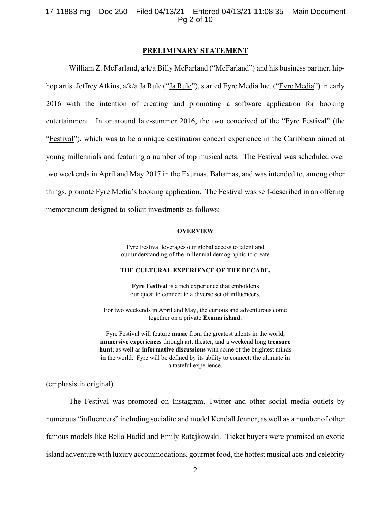# 17-11883-mg Doc 250 Filed 04/13/21 Entered 04/13/21 11:08:35 Main Document Pg 2 of 10

## **PRELIMINARY STATEMENT**

William Z. McFarland, a/k/a Billy McFarland ("McFarland") and his business partner, hiphop artist Jeffrey Atkins, a/k/a Ja Rule ("Ja Rule"), started Fyre Media Inc. ("Fyre Media") in early 2016 with the intention of creating and promoting a software application for booking entertainment. In or around late-summer 2016, the two conceived of the "Fyre Festival" (the "Festival"), which was to be a unique destination concert experience in the Caribbean aimed at young millennials and featuring a number of top musical acts. The Festival was scheduled over two weekends in April and May 2017 in the Exumas, Bahamas, and was intended to, among other things, promote Fyre Media's booking application. The Festival was self-described in an offering memorandum designed to solicit investments as follows:

#### **OVERVIEW**

Fyre Festival leverages our global access to talent and our understanding of the millennial demographic to create

# **THE CULTURAL EXPERIENCE OF THE DECADE.**

**Fyre Festival** is a rich experience that emboldens our quest to connect to a diverse set of influencers.

For two weekends in April and May, the curious and adventurous come together on a private **Exuma island**:

Fyre Festival will feature **music** from the greatest talents in the world, **immersive experiences** through art, theater, and a weekend long **treasure hunt**; as well as **informative discussions** with some of the brightest minds in the world. Fyre will be defined by its ability to connect: the ultimate in a tasteful experience.

(emphasis in original).

The Festival was promoted on Instagram, Twitter and other social media outlets by numerous "influencers" including socialite and model Kendall Jenner, as well as a number of other famous models like Bella Hadid and Emily Ratajkowski. Ticket buyers were promised an exotic island adventure with luxury accommodations, gourmet food, the hottest musical acts and celebrity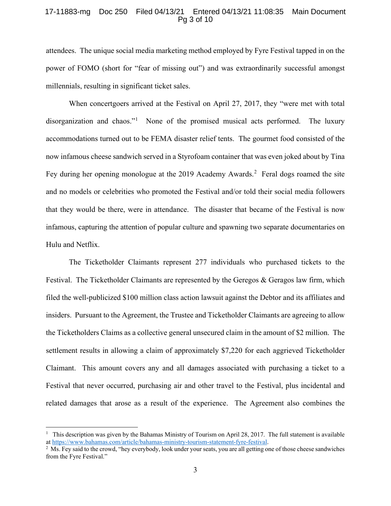# 17-11883-mg Doc 250 Filed 04/13/21 Entered 04/13/21 11:08:35 Main Document Pg 3 of 10

attendees. The unique social media marketing method employed by Fyre Festival tapped in on the power of FOMO (short for "fear of missing out") and was extraordinarily successful amongst millennials, resulting in significant ticket sales.

When concertgoers arrived at the Festival on April 27, 2017, they "were met with total disorganization and chaos."<sup>[1](#page-2-0)</sup> None of the promised musical acts performed. The luxury accommodations turned out to be FEMA disaster relief tents. The gourmet food consisted of the now infamous cheese sandwich served in a Styrofoam container that was even joked about by Tina Fey during her opening monologue at the [2](#page-2-1)019 Academy Awards.<sup>2</sup> Feral dogs roamed the site and no models or celebrities who promoted the Festival and/or told their social media followers that they would be there, were in attendance. The disaster that became of the Festival is now infamous, capturing the attention of popular culture and spawning two separate documentaries on Hulu and Netflix.

The Ticketholder Claimants represent 277 individuals who purchased tickets to the Festival. The Ticketholder Claimants are represented by the Geregos & Geragos law firm, which filed the well-publicized \$100 million class action lawsuit against the Debtor and its affiliates and insiders. Pursuant to the Agreement, the Trustee and Ticketholder Claimants are agreeing to allow the Ticketholders Claims as a collective general unsecured claim in the amount of \$2 million. The settlement results in allowing a claim of approximately \$7,220 for each aggrieved Ticketholder Claimant. This amount covers any and all damages associated with purchasing a ticket to a Festival that never occurred, purchasing air and other travel to the Festival, plus incidental and related damages that arose as a result of the experience. The Agreement also combines the

<span id="page-2-0"></span><sup>&</sup>lt;sup>1</sup> This description was given by the Bahamas Ministry of Tourism on April 28, 2017. The full statement is available a[t https://www.bahamas.com/article/bahamas-ministry-tourism-statement-fyre-festival.](https://www.bahamas.com/article/bahamas-ministry-tourism-statement-fyre-festival)

<span id="page-2-1"></span> $2$  Ms. Fey said to the crowd, "hey everybody, look under your seats, you are all getting one of those cheese sandwiches from the Fyre Festival."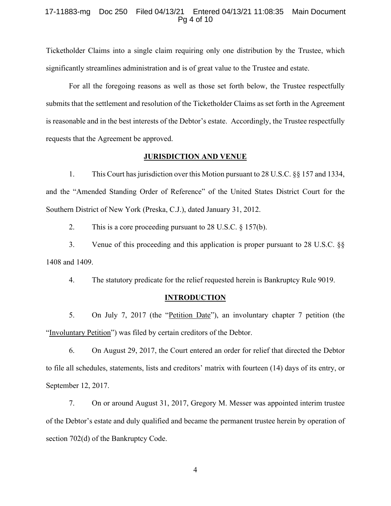## 17-11883-mg Doc 250 Filed 04/13/21 Entered 04/13/21 11:08:35 Main Document Pg 4 of 10

Ticketholder Claims into a single claim requiring only one distribution by the Trustee, which significantly streamlines administration and is of great value to the Trustee and estate.

For all the foregoing reasons as well as those set forth below, the Trustee respectfully submits that the settlement and resolution of the Ticketholder Claims as set forth in the Agreement is reasonable and in the best interests of the Debtor's estate. Accordingly, the Trustee respectfully requests that the Agreement be approved.

# **JURISDICTION AND VENUE**

1. This Court has jurisdiction over this Motion pursuant to 28 U.S.C. §§ 157 and 1334, and the "Amended Standing Order of Reference" of the United States District Court for the Southern District of New York (Preska, C.J.), dated January 31, 2012.

2. This is a core proceeding pursuant to 28 U.S.C. § 157(b).

3. Venue of this proceeding and this application is proper pursuant to 28 U.S.C. §§ 1408 and 1409.

4. The statutory predicate for the relief requested herein is Bankruptcy Rule 9019.

### **INTRODUCTION**

5. On July 7, 2017 (the "Petition Date"), an involuntary chapter 7 petition (the "Involuntary Petition") was filed by certain creditors of the Debtor.

6. On August 29, 2017, the Court entered an order for relief that directed the Debtor to file all schedules, statements, lists and creditors' matrix with fourteen (14) days of its entry, or September 12, 2017.

7. On or around August 31, 2017, Gregory M. Messer was appointed interim trustee of the Debtor's estate and duly qualified and became the permanent trustee herein by operation of section 702(d) of the Bankruptcy Code.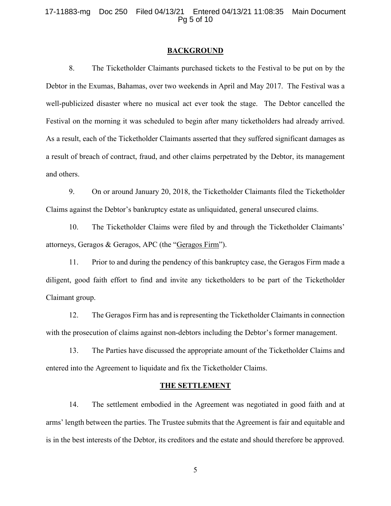# 17-11883-mg Doc 250 Filed 04/13/21 Entered 04/13/21 11:08:35 Main Document Pg 5 of 10

## **BACKGROUND**

8. The Ticketholder Claimants purchased tickets to the Festival to be put on by the Debtor in the Exumas, Bahamas, over two weekends in April and May 2017. The Festival was a well-publicized disaster where no musical act ever took the stage. The Debtor cancelled the Festival on the morning it was scheduled to begin after many ticketholders had already arrived. As a result, each of the Ticketholder Claimants asserted that they suffered significant damages as a result of breach of contract, fraud, and other claims perpetrated by the Debtor, its management and others.

9. On or around January 20, 2018, the Ticketholder Claimants filed the Ticketholder Claims against the Debtor's bankruptcy estate as unliquidated, general unsecured claims.

10. The Ticketholder Claims were filed by and through the Ticketholder Claimants' attorneys, Geragos & Geragos, APC (the "Geragos Firm").

11. Prior to and during the pendency of this bankruptcy case, the Geragos Firm made a diligent, good faith effort to find and invite any ticketholders to be part of the Ticketholder Claimant group.

12. The Geragos Firm has and is representing the Ticketholder Claimants in connection with the prosecution of claims against non-debtors including the Debtor's former management.

13. The Parties have discussed the appropriate amount of the Ticketholder Claims and entered into the Agreement to liquidate and fix the Ticketholder Claims.

#### **THE SETTLEMENT**

14. The settlement embodied in the Agreement was negotiated in good faith and at arms' length between the parties. The Trustee submits that the Agreement is fair and equitable and is in the best interests of the Debtor, its creditors and the estate and should therefore be approved.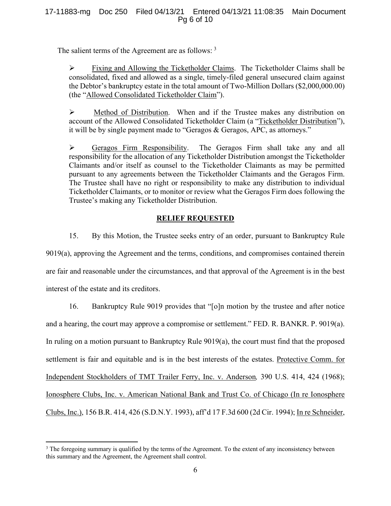# 17-11883-mg Doc 250 Filed 04/13/21 Entered 04/13/21 11:08:35 Main Document Pg 6 of 10

The salient terms of the Agreement are as follows: <sup>[3](#page-5-0)</sup>

 Fixing and Allowing the Ticketholder Claims. The Ticketholder Claims shall be consolidated, fixed and allowed as a single, timely-filed general unsecured claim against the Debtor's bankruptcy estate in the total amount of Two-Million Dollars (\$2,000,000.00) (the "Allowed Consolidated Ticketholder Claim").

 Method of Distribution. When and if the Trustee makes any distribution on account of the Allowed Consolidated Ticketholder Claim (a "Ticketholder Distribution"), it will be by single payment made to "Geragos & Geragos, APC, as attorneys."

 Geragos Firm Responsibility. The Geragos Firm shall take any and all responsibility for the allocation of any Ticketholder Distribution amongst the Ticketholder Claimants and/or itself as counsel to the Ticketholder Claimants as may be permitted pursuant to any agreements between the Ticketholder Claimants and the Geragos Firm. The Trustee shall have no right or responsibility to make any distribution to individual Ticketholder Claimants, or to monitor or review what the Geragos Firm does following the Trustee's making any Ticketholder Distribution.

# **RELIEF REQUESTED**

15. By this Motion, the Trustee seeks entry of an order, pursuant to Bankruptcy Rule 9019(a), approving the Agreement and the terms, conditions, and compromises contained therein are fair and reasonable under the circumstances, and that approval of the Agreement is in the best interest of the estate and its creditors.

16. Bankruptcy Rule 9019 provides that "[o]n motion by the trustee and after notice and a hearing, the court may approve a compromise or settlement." FED. R. BANKR. P. 9019(a). In ruling on a motion pursuant to Bankruptcy Rule 9019(a), the court must find that the proposed settlement is fair and equitable and is in the best interests of the estates. Protective Comm. for Independent Stockholders of TMT Trailer Ferry, Inc. v. Anderson*,* 390 U.S. 414, 424 (1968); Ionosphere Clubs, Inc. v. American National Bank and Trust Co. of Chicago (In re Ionosphere Clubs, Inc.), 156 B.R. 414, 426 (S.D.N.Y. 1993), aff'd 17 F.3d 600 (2d Cir. 1994); In re Schneider,

<span id="page-5-0"></span><sup>&</sup>lt;sup>3</sup> The foregoing summary is qualified by the terms of the Agreement. To the extent of any inconsistency between this summary and the Agreement, the Agreement shall control.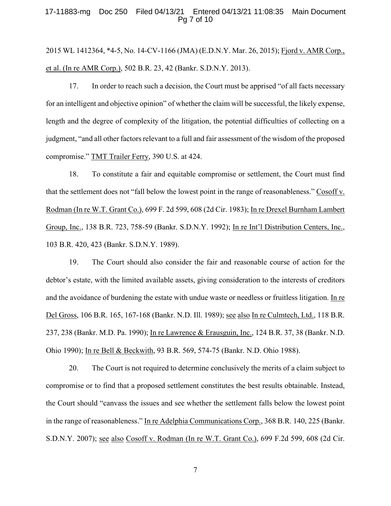## 17-11883-mg Doc 250 Filed 04/13/21 Entered 04/13/21 11:08:35 Main Document Pg 7 of 10

2015 WL 1412364, \*4-5, No. 14-CV-1166 (JMA) (E.D.N.Y. Mar. 26, 2015); Fjord v. AMR Corp., et al. (In re AMR Corp.), 502 B.R. 23, 42 (Bankr. S.D.N.Y. 2013).

17. In order to reach such a decision, the Court must be apprised "of all facts necessary for an intelligent and objective opinion" of whether the claim will be successful, the likely expense, length and the degree of complexity of the litigation, the potential difficulties of collecting on a judgment, "and all other factors relevant to a full and fair assessment of the wisdom of the proposed compromise." TMT Trailer Ferry, 390 U.S. at 424.

18. To constitute a fair and equitable compromise or settlement, the Court must find that the settlement does not "fall below the lowest point in the range of reasonableness." Cosoff v. Rodman (In re W.T. Grant Co.), 699 F. 2d 599, 608 (2d Cir. 1983); In re Drexel Burnham Lambert Group, Inc., 138 B.R. 723, 758-59 (Bankr. S.D.N.Y. 1992); In re Int'l Distribution Centers, Inc., 103 B.R. 420, 423 (Bankr. S.D.N.Y. 1989).

19. The Court should also consider the fair and reasonable course of action for the debtor's estate, with the limited available assets, giving consideration to the interests of creditors and the avoidance of burdening the estate with undue waste or needless or fruitless litigation. In re Del Gross, 106 B.R. 165, 167-168 (Bankr. N.D. Ill. 1989); see also In re Culmtech, Ltd., 118 B.R. 237, 238 (Bankr. M.D. Pa. 1990); In re Lawrence & Erausguin, Inc., 124 B.R. 37, 38 (Bankr. N.D. Ohio 1990); In re Bell & Beckwith, 93 B.R. 569, 574-75 (Bankr. N.D. Ohio 1988).

20. The Court is not required to determine conclusively the merits of a claim subject to compromise or to find that a proposed settlement constitutes the best results obtainable. Instead, the Court should "canvass the issues and see whether the settlement falls below the lowest point in the range of reasonableness." In re Adelphia Communications Corp., 368 B.R. 140, 225 (Bankr. S.D.N.Y. 2007); see also Cosoff v. Rodman (In re W.T. Grant Co.), 699 F.2d 599, 608 (2d Cir.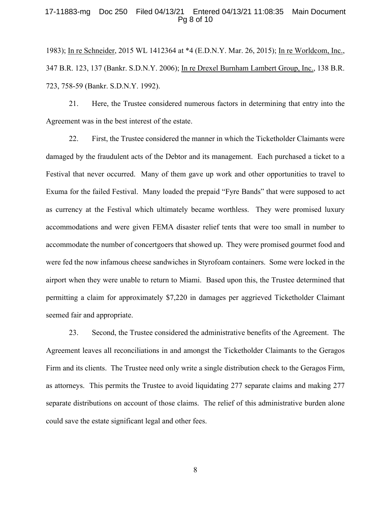## 17-11883-mg Doc 250 Filed 04/13/21 Entered 04/13/21 11:08:35 Main Document Pg 8 of 10

1983); In re Schneider, 2015 WL 1412364 at \*4 (E.D.N.Y. Mar. 26, 2015); In re Worldcom, Inc., 347 B.R. 123, 137 (Bankr. S.D.N.Y. 2006); In re Drexel Burnham Lambert Group, Inc., 138 B.R. 723, 758-59 (Bankr. S.D.N.Y. 1992).

21. Here, the Trustee considered numerous factors in determining that entry into the Agreement was in the best interest of the estate.

22. First, the Trustee considered the manner in which the Ticketholder Claimants were damaged by the fraudulent acts of the Debtor and its management. Each purchased a ticket to a Festival that never occurred. Many of them gave up work and other opportunities to travel to Exuma for the failed Festival. Many loaded the prepaid "Fyre Bands" that were supposed to act as currency at the Festival which ultimately became worthless. They were promised luxury accommodations and were given FEMA disaster relief tents that were too small in number to accommodate the number of concertgoers that showed up. They were promised gourmet food and were fed the now infamous cheese sandwiches in Styrofoam containers. Some were locked in the airport when they were unable to return to Miami. Based upon this, the Trustee determined that permitting a claim for approximately \$7,220 in damages per aggrieved Ticketholder Claimant seemed fair and appropriate.

23. Second, the Trustee considered the administrative benefits of the Agreement. The Agreement leaves all reconciliations in and amongst the Ticketholder Claimants to the Geragos Firm and its clients. The Trustee need only write a single distribution check to the Geragos Firm, as attorneys. This permits the Trustee to avoid liquidating 277 separate claims and making 277 separate distributions on account of those claims. The relief of this administrative burden alone could save the estate significant legal and other fees.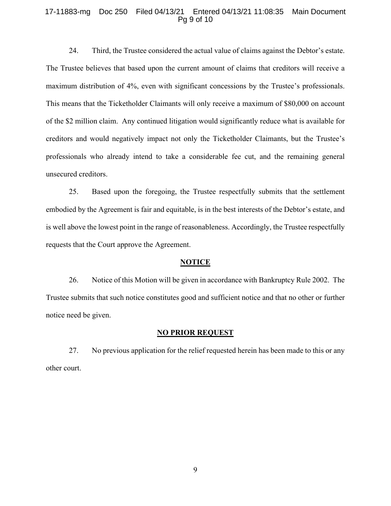## 17-11883-mg Doc 250 Filed 04/13/21 Entered 04/13/21 11:08:35 Main Document Pg 9 of 10

24. Third, the Trustee considered the actual value of claims against the Debtor's estate. The Trustee believes that based upon the current amount of claims that creditors will receive a maximum distribution of 4%, even with significant concessions by the Trustee's professionals. This means that the Ticketholder Claimants will only receive a maximum of \$80,000 on account of the \$2 million claim. Any continued litigation would significantly reduce what is available for creditors and would negatively impact not only the Ticketholder Claimants, but the Trustee's professionals who already intend to take a considerable fee cut, and the remaining general unsecured creditors.

25. Based upon the foregoing, the Trustee respectfully submits that the settlement embodied by the Agreement is fair and equitable, is in the best interests of the Debtor's estate, and is well above the lowest point in the range of reasonableness. Accordingly, the Trustee respectfully requests that the Court approve the Agreement.

#### **NOTICE**

26. Notice of this Motion will be given in accordance with Bankruptcy Rule 2002. The Trustee submits that such notice constitutes good and sufficient notice and that no other or further notice need be given.

## **NO PRIOR REQUEST**

27. No previous application for the relief requested herein has been made to this or any other court.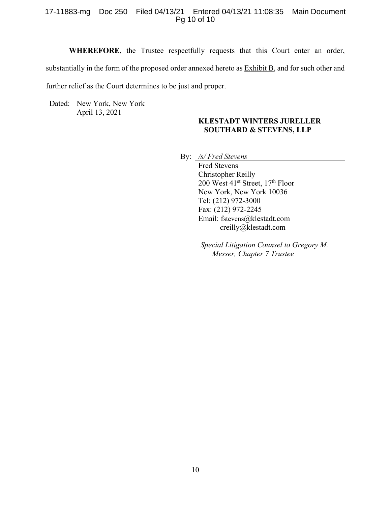# 17-11883-mg Doc 250 Filed 04/13/21 Entered 04/13/21 11:08:35 Main Document Pg 10 of 10

**WHEREFORE**, the Trustee respectfully requests that this Court enter an order, substantially in the form of the proposed order annexed hereto as **Exhibit B**, and for such other and further relief as the Court determines to be just and proper.

Dated: New York, New York April 13, 2021

# **KLESTADT WINTERS JURELLER SOUTHARD & STEVENS, LLP**

By: */s/ Fred Stevens*

Fred Stevens Christopher Reilly 200 West 41<sup>st</sup> Street, 17<sup>th</sup> Floor New York, New York 10036 Tel: (212) 972-3000 Fax: (212) 972-2245 Email: [fstevens@klestadt.com](mailto:fstevens@klestadt.com) creilly@klestadt.com

*Special Litigation Counsel to Gregory M. Messer, Chapter 7 Trustee*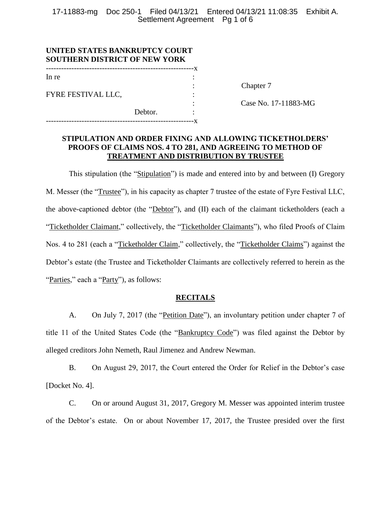17-11883-mg Doc 250-1 Filed 04/13/21 Entered 04/13/21 11:08:35 Exhibit A. Settlement Agreement Pg 1 of 6

| UNITED STATES BANKRUPTCY COURT<br><b>SOUTHERN DISTRICT OF NEW YORK</b> |         |  |
|------------------------------------------------------------------------|---------|--|
| In re                                                                  |         |  |
| FYRE FESTIVAL LLC,                                                     |         |  |
|                                                                        | Debtor. |  |
|                                                                        |         |  |

Chapter 7

: Case No. 17-11883-MG

# **STIPULATION AND ORDER FIXING AND ALLOWING TICKETHOLDERS' PROOFS OF CLAIMS NOS. 4 TO 281, AND AGREEING TO METHOD OF TREATMENT AND DISTRIBUTION BY TRUSTEE**

This stipulation (the "Stipulation") is made and entered into by and between (I) Gregory M. Messer (the "Trustee"), in his capacity as chapter 7 trustee of the estate of Fyre Festival LLC, the above-captioned debtor (the "Debtor"), and (II) each of the claimant ticketholders (each a "Ticketholder Claimant," collectively, the "Ticketholder Claimants"), who filed Proofs of Claim Nos. 4 to 281 (each a "Ticketholder Claim," collectively, the "Ticketholder Claims") against the Debtor's estate (the Trustee and Ticketholder Claimants are collectively referred to herein as the "Parties," each a "Party"), as follows:

# **RECITALS**

A. On July 7, 2017 (the "Petition Date"), an involuntary petition under chapter 7 of title 11 of the United States Code (the "Bankruptcy Code") was filed against the Debtor by alleged creditors John Nemeth, Raul Jimenez and Andrew Newman.

B. On August 29, 2017, the Court entered the Order for Relief in the Debtor's case [Docket No. 4].

C. On or around August 31, 2017, Gregory M. Messer was appointed interim trustee of the Debtor's estate. On or about November 17, 2017, the Trustee presided over the first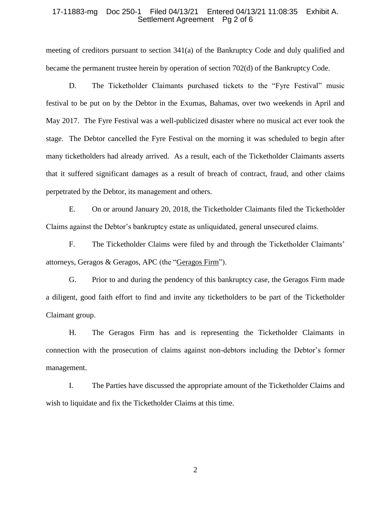## 17-11883-mg Doc 250-1 Filed 04/13/21 Entered 04/13/21 11:08:35 Exhibit A. Settlement Agreement Pg 2 of 6

meeting of creditors pursuant to section 341(a) of the Bankruptcy Code and duly qualified and became the permanent trustee herein by operation of section 702(d) of the Bankruptcy Code.

D. The Ticketholder Claimants purchased tickets to the "Fyre Festival" music festival to be put on by the Debtor in the Exumas, Bahamas, over two weekends in April and May 2017. The Fyre Festival was a well-publicized disaster where no musical act ever took the stage. The Debtor cancelled the Fyre Festival on the morning it was scheduled to begin after many ticketholders had already arrived. As a result, each of the Ticketholder Claimants asserts that it suffered significant damages as a result of breach of contract, fraud, and other claims perpetrated by the Debtor, its management and others.

E. On or around January 20, 2018, the Ticketholder Claimants filed the Ticketholder Claims against the Debtor's bankruptcy estate as unliquidated, general unsecured claims.

F. The Ticketholder Claims were filed by and through the Ticketholder Claimants' attorneys, Geragos & Geragos, APC (the "Geragos Firm").

G. Prior to and during the pendency of this bankruptcy case, the Geragos Firm made a diligent, good faith effort to find and invite any ticketholders to be part of the Ticketholder Claimant group.

H. The Geragos Firm has and is representing the Ticketholder Claimants in connection with the prosecution of claims against non-debtors including the Debtor's former management.

I. The Parties have discussed the appropriate amount of the Ticketholder Claims and wish to liquidate and fix the Ticketholder Claims at this time.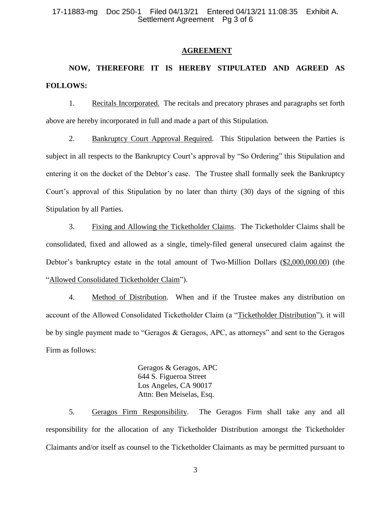## 17-11883-mg Doc 250-1 Filed 04/13/21 Entered 04/13/21 11:08:35 Exhibit A. Settlement Agreement Pg 3 of 6

## **AGREEMENT**

# **NOW, THEREFORE IT IS HEREBY STIPULATED AND AGREED AS FOLLOWS:**

1. Recitals Incorporated. The recitals and precatory phrases and paragraphs set forth above are hereby incorporated in full and made a part of this Stipulation.

2. Bankruptcy Court Approval Required. This Stipulation between the Parties is subject in all respects to the Bankruptcy Court's approval by "So Ordering" this Stipulation and entering it on the docket of the Debtor's case. The Trustee shall formally seek the Bankruptcy Court's approval of this Stipulation by no later than thirty (30) days of the signing of this Stipulation by all Parties.

3. Fixing and Allowing the Ticketholder Claims. The Ticketholder Claims shall be consolidated, fixed and allowed as a single, timely-filed general unsecured claim against the Debtor's bankruptcy estate in the total amount of Two-Million Dollars (\$2,000,000.00) (the "Allowed Consolidated Ticketholder Claim").

4. Method of Distribution. When and if the Trustee makes any distribution on account of the Allowed Consolidated Ticketholder Claim (a "Ticketholder Distribution"), it will be by single payment made to "Geragos & Geragos, APC, as attorneys" and sent to the Geragos Firm as follows:

> Geragos & Geragos, APC 644 S. Figueroa Street Los Angeles, CA 90017 Attn: Ben Meiselas, Esq.

5. Geragos Firm Responsibility. The Geragos Firm shall take any and all responsibility for the allocation of any Ticketholder Distribution amongst the Ticketholder Claimants and/or itself as counsel to the Ticketholder Claimants as may be permitted pursuant to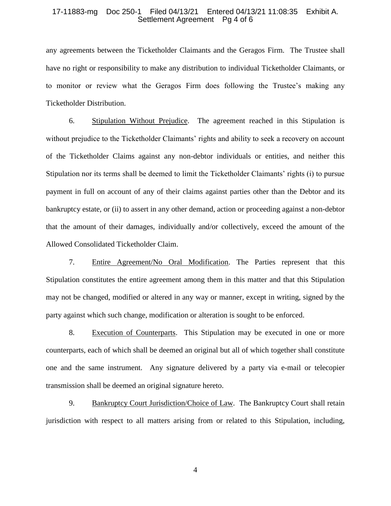## 17-11883-mg Doc 250-1 Filed 04/13/21 Entered 04/13/21 11:08:35 Exhibit A. Settlement Agreement Pg 4 of 6

any agreements between the Ticketholder Claimants and the Geragos Firm. The Trustee shall have no right or responsibility to make any distribution to individual Ticketholder Claimants, or to monitor or review what the Geragos Firm does following the Trustee's making any Ticketholder Distribution.

6. Stipulation Without Prejudice. The agreement reached in this Stipulation is without prejudice to the Ticketholder Claimants' rights and ability to seek a recovery on account of the Ticketholder Claims against any non-debtor individuals or entities, and neither this Stipulation nor its terms shall be deemed to limit the Ticketholder Claimants' rights (i) to pursue payment in full on account of any of their claims against parties other than the Debtor and its bankruptcy estate, or (ii) to assert in any other demand, action or proceeding against a non-debtor that the amount of their damages, individually and/or collectively, exceed the amount of the Allowed Consolidated Ticketholder Claim.

7. Entire Agreement/No Oral Modification. The Parties represent that this Stipulation constitutes the entire agreement among them in this matter and that this Stipulation may not be changed, modified or altered in any way or manner, except in writing, signed by the party against which such change, modification or alteration is sought to be enforced.

8. Execution of Counterparts. This Stipulation may be executed in one or more counterparts, each of which shall be deemed an original but all of which together shall constitute one and the same instrument. Any signature delivered by a party via e-mail or telecopier transmission shall be deemed an original signature hereto.

9. Bankruptcy Court Jurisdiction/Choice of Law. The Bankruptcy Court shall retain jurisdiction with respect to all matters arising from or related to this Stipulation, including,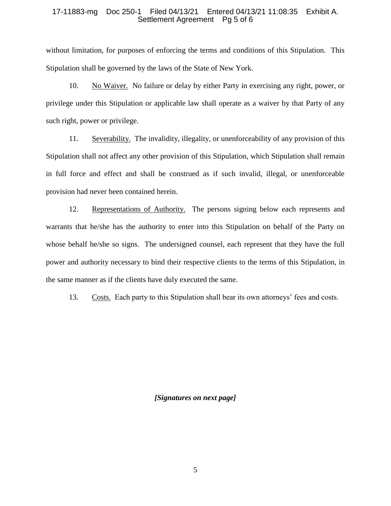# 17-11883-mg Doc 250-1 Filed 04/13/21 Entered 04/13/21 11:08:35 Exhibit A. Settlement Agreement Pg 5 of 6

without limitation, for purposes of enforcing the terms and conditions of this Stipulation. This Stipulation shall be governed by the laws of the State of New York.

10. No Waiver. No failure or delay by either Party in exercising any right, power, or privilege under this Stipulation or applicable law shall operate as a waiver by that Party of any such right, power or privilege.

11. Severability. The invalidity, illegality, or unenforceability of any provision of this Stipulation shall not affect any other provision of this Stipulation, which Stipulation shall remain in full force and effect and shall be construed as if such invalid, illegal, or unenforceable provision had never been contained herein.

12. Representations of Authority. The persons signing below each represents and warrants that he/she has the authority to enter into this Stipulation on behalf of the Party on whose behalf he/she so signs. The undersigned counsel, each represent that they have the full power and authority necessary to bind their respective clients to the terms of this Stipulation, in the same manner as if the clients have duly executed the same.

13. Costs. Each party to this Stipulation shall bear its own attorneys' fees and costs.

*[Signatures on next page]*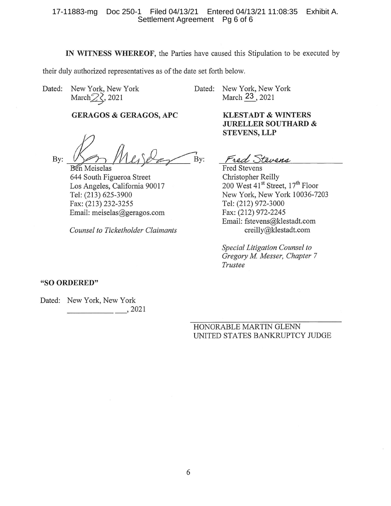# 17-11883-mg Doc 250-1 Filed 04/13/21 Entered 04/13/21 11:08:35 Exhibit A. Settlement Agreement Pg 6 of 6

IN WITNESS WHEREOF, the Parties have caused this Stipulation to be executed by

Bv:

their duly authorized representatives as of the date set forth below.

Dated: New York, New York March $\sqrt{2}$ , 2021

**Ben** Meiselas

644 South Figueroa Street

Tel: (213) 625-3900

Los Angeles, California 90017

Dated: New York, New York March 23, 2021

> **KLESTADT & WINTERS JURELLER SOUTHARD & STEVENS, LLP**

Fred Stevens

**Fred Stevens** Christopher Reilly 200 West 41<sup>st</sup> Street, 17<sup>th</sup> Floor New York, New York 10036-7203 Tel: (212) 972-3000 Fax: (212) 972-2245 Email: fstevens@klestadt.com creilly@klestadt.com

Special Litigation Counsel to Gregory M. Messer, Chapter 7 Trustee

# "SO ORDERED"

Bv:

Dated: New York, New York  $\frac{1}{2}$ , 2021

> HONORABLE MARTIN GLENN UNITED STATES BANKRUPTCY JUDGE

Fax: (213) 232-3255 Email: meiselas@geragos.com

**Counsel to Ticketholder Claimants** 

**GERAGOS & GERAGOS, APC**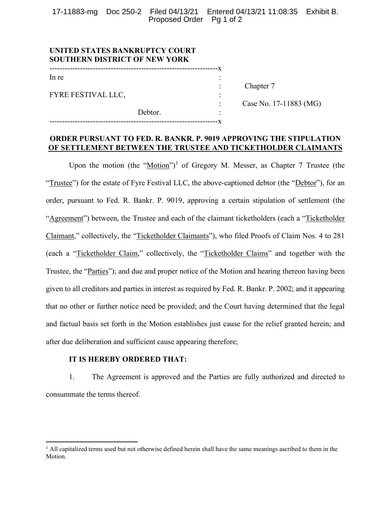17-11883-mg Doc 250-2 Filed 04/13/21 Entered 04/13/21 11:08:35 Exhibit B. Proposed Order Pg 1 of 2

| UNITED STATES BANKRUPTCY COURT<br><b>SOUTHERN DISTRICT OF NEW YORK</b> |         |                        |
|------------------------------------------------------------------------|---------|------------------------|
| In re                                                                  |         |                        |
| <b>FYRE FESTIVAL LLC,</b>                                              |         | Chapter 7              |
|                                                                        |         | Case No. 17-11883 (MG) |
|                                                                        | Debtor. |                        |
|                                                                        |         |                        |

# **ORDER PURSUANT TO FED. R. BANKR. P. 9019 APPROVING THE STIPULATION OF SETTLEMENT BETWEEN THE TRUSTEE AND TICKETHOLDER CLAIMANTS**

Upon the motion (the "Motion")<sup>[1](#page-16-0)</sup> of Gregory M. Messer, as Chapter 7 Trustee (the "Trustee") for the estate of Fyre Festival LLC, the above-captioned debtor (the "Debtor"), for an order, pursuant to Fed. R. Bankr. P. 9019, approving a certain stipulation of settlement (the "Agreement") between, the Trustee and each of the claimant ticketholders (each a "Ticketholder Claimant," collectively, the "Ticketholder Claimants"), who filed Proofs of Claim Nos. 4 to 281 (each a "Ticketholder Claim," collectively, the "Ticketholder Claims" and together with the Trustee, the "Parties"); and due and proper notice of the Motion and hearing thereon having been given to all creditors and parties in interest as required by Fed. R. Bankr. P. 2002; and it appearing that no other or further notice need be provided; and the Court having determined that the legal and factual basis set forth in the Motion establishes just cause for the relief granted herein; and after due deliberation and sufficient cause appearing therefore;

# **IT IS HEREBY ORDERED THAT:**

1. The Agreement is approved and the Parties are fully authorized and directed to consummate the terms thereof.

<span id="page-16-0"></span><sup>&</sup>lt;sup>1</sup> All capitalized terms used but not otherwise defined herein shall have the same meanings ascribed to them in the Motion.